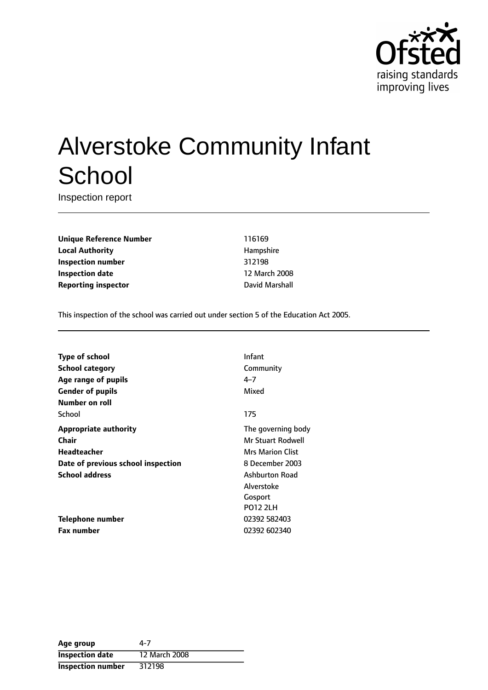

# Alverstoke Community Infant **School**

Inspection report

**Unique Reference Number** 116169 **Local Authority Hampshire Hampshire Inspection number** 312198 **Inspection date** 12 March 2008 **Reporting inspector Contract Contract Contract Contract Contract Contract Contract Contract Contract Contract Contract Contract Contract Contract Contract Contract Contract Contract Contract Contract Contract Contract C** 

This inspection of the school was carried out under section 5 of the Education Act 2005.

| Infant                  |
|-------------------------|
|                         |
| Community               |
| $4 - 7$                 |
| Mixed                   |
|                         |
| 175                     |
| The governing body      |
| Mr Stuart Rodwell       |
| <b>Mrs Marion Clist</b> |
| 8 December 2003         |
| <b>Ashburton Road</b>   |
| Alverstoke              |
| Gosport                 |
| <b>PO12 2LH</b>         |
| 02392 582403            |
| 02392 602340            |
|                         |

| Age group                | 4-7           |
|--------------------------|---------------|
| <b>Inspection date</b>   | 12 March 2008 |
| <b>Inspection number</b> | 312198        |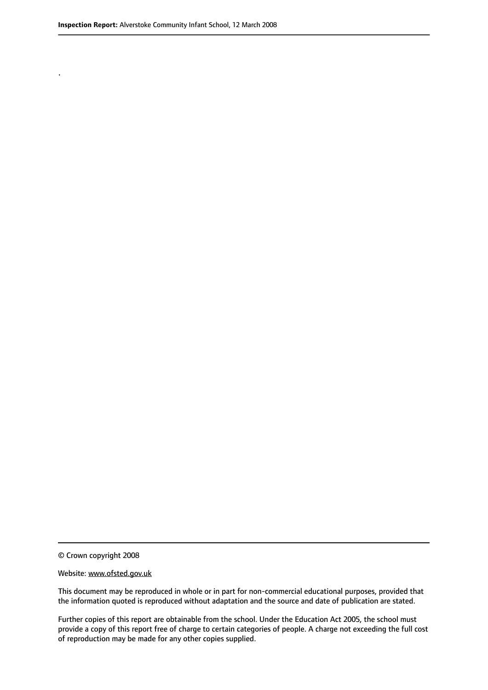.

© Crown copyright 2008

#### Website: www.ofsted.gov.uk

This document may be reproduced in whole or in part for non-commercial educational purposes, provided that the information quoted is reproduced without adaptation and the source and date of publication are stated.

Further copies of this report are obtainable from the school. Under the Education Act 2005, the school must provide a copy of this report free of charge to certain categories of people. A charge not exceeding the full cost of reproduction may be made for any other copies supplied.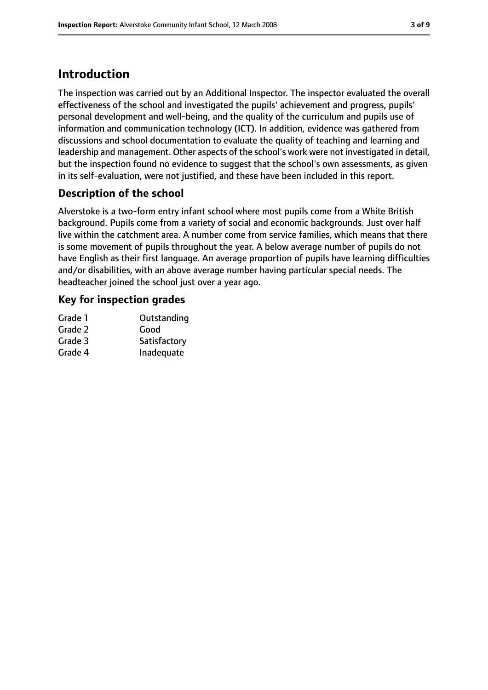## **Introduction**

The inspection was carried out by an Additional Inspector. The inspector evaluated the overall effectiveness of the school and investigated the pupils' achievement and progress, pupils' personal development and well-being, and the quality of the curriculum and pupils use of information and communication technology (ICT). In addition, evidence was gathered from discussions and school documentation to evaluate the quality of teaching and learning and leadership and management. Other aspects of the school's work were not investigated in detail, but the inspection found no evidence to suggest that the school's own assessments, as given in its self-evaluation, were not justified, and these have been included in this report.

## **Description of the school**

Alverstoke is a two-form entry infant school where most pupils come from a White British background. Pupils come from a variety of social and economic backgrounds. Just over half live within the catchment area. A number come from service families, which means that there is some movement of pupils throughout the year. A below average number of pupils do not have English as their first language. An average proportion of pupils have learning difficulties and/or disabilities, with an above average number having particular special needs. The headteacher joined the school just over a year ago.

#### **Key for inspection grades**

| Outstanding  |
|--------------|
| Good         |
| Satisfactory |
| Inadequate   |
|              |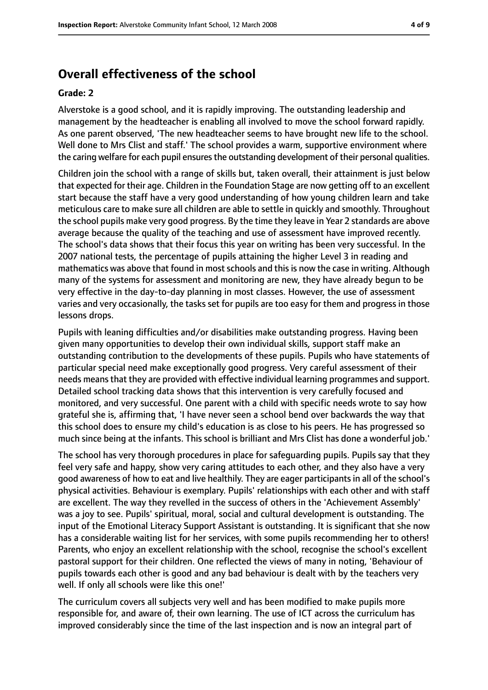## **Overall effectiveness of the school**

#### **Grade: 2**

Alverstoke is a good school, and it is rapidly improving. The outstanding leadership and management by the headteacher is enabling all involved to move the school forward rapidly. As one parent observed, 'The new headteacher seems to have brought new life to the school. Well done to Mrs Clist and staff.' The school provides a warm, supportive environment where the caring welfare for each pupil ensures the outstanding development of their personal qualities.

Children join the school with a range of skills but, taken overall, their attainment is just below that expected for their age. Children in the Foundation Stage are now getting off to an excellent start because the staff have a very good understanding of how young children learn and take meticulous care to make sure all children are able to settle in quickly and smoothly. Throughout the school pupils make very good progress. By the time they leave in Year 2 standards are above average because the quality of the teaching and use of assessment have improved recently. The school's data shows that their focus this year on writing has been very successful. In the 2007 national tests, the percentage of pupils attaining the higher Level 3 in reading and mathematics was above that found in most schools and this is now the case in writing. Although many of the systems for assessment and monitoring are new, they have already begun to be very effective in the day-to-day planning in most classes. However, the use of assessment varies and very occasionally, the tasks set for pupils are too easy for them and progress in those lessons drops.

Pupils with leaning difficulties and/or disabilities make outstanding progress. Having been given many opportunities to develop their own individual skills, support staff make an outstanding contribution to the developments of these pupils. Pupils who have statements of particular special need make exceptionally good progress. Very careful assessment of their needs means that they are provided with effective individual learning programmes and support. Detailed school tracking data shows that this intervention is very carefully focused and monitored, and very successful. One parent with a child with specific needs wrote to say how grateful she is, affirming that, 'I have never seen a school bend over backwards the way that this school does to ensure my child's education is as close to his peers. He has progressed so much since being at the infants. This school is brilliant and Mrs Clist has done a wonderful job.'

The school has very thorough procedures in place for safeguarding pupils. Pupils say that they feel very safe and happy, show very caring attitudes to each other, and they also have a very good awareness of how to eat and live healthily. They are eager participants in all of the school's physical activities. Behaviour is exemplary. Pupils' relationships with each other and with staff are excellent. The way they revelled in the success of others in the 'Achievement Assembly' was a joy to see. Pupils' spiritual, moral, social and cultural development is outstanding. The input of the Emotional Literacy Support Assistant is outstanding. It is significant that she now has a considerable waiting list for her services, with some pupils recommending her to others! Parents, who enjoy an excellent relationship with the school, recognise the school's excellent pastoral support for their children. One reflected the views of many in noting, 'Behaviour of pupils towards each other is good and any bad behaviour is dealt with by the teachers very well. If only all schools were like this one!'

The curriculum covers all subjects very well and has been modified to make pupils more responsible for, and aware of, their own learning. The use of ICT across the curriculum has improved considerably since the time of the last inspection and is now an integral part of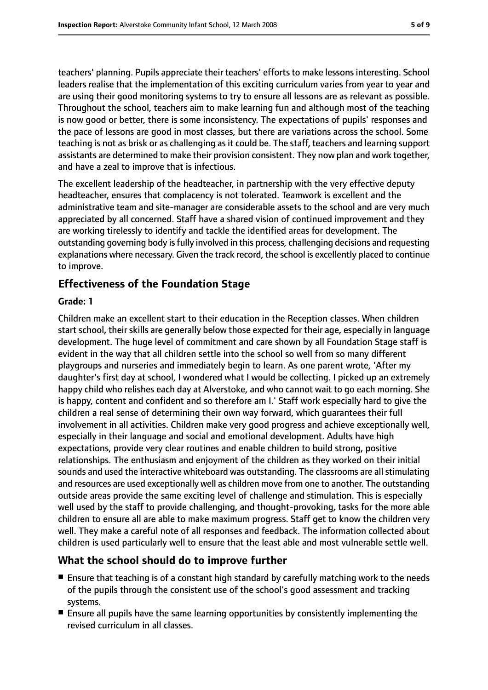teachers' planning. Pupils appreciate their teachers' efforts to make lessons interesting. School leaders realise that the implementation of this exciting curriculum varies from year to year and are using their good monitoring systems to try to ensure all lessons are as relevant as possible. Throughout the school, teachers aim to make learning fun and although most of the teaching is now good or better, there is some inconsistency. The expectations of pupils' responses and the pace of lessons are good in most classes, but there are variations across the school. Some teaching is not as brisk or as challenging as it could be. The staff, teachers and learning support assistants are determined to make their provision consistent. They now plan and work together, and have a zeal to improve that is infectious.

The excellent leadership of the headteacher, in partnership with the very effective deputy headteacher, ensures that complacency is not tolerated. Teamwork is excellent and the administrative team and site-manager are considerable assets to the school and are very much appreciated by all concerned. Staff have a shared vision of continued improvement and they are working tirelessly to identify and tackle the identified areas for development. The outstanding governing body isfully involved in this process, challenging decisions and requesting explanations where necessary. Given the track record, the school is excellently placed to continue to improve.

#### **Effectiveness of the Foundation Stage**

#### **Grade: 1**

Children make an excellent start to their education in the Reception classes. When children start school, their skills are generally below those expected for their age, especially in language development. The huge level of commitment and care shown by all Foundation Stage staff is evident in the way that all children settle into the school so well from so many different playgroups and nurseries and immediately begin to learn. As one parent wrote, 'After my daughter's first day at school, I wondered what I would be collecting. I picked up an extremely happy child who relishes each day at Alverstoke, and who cannot wait to go each morning. She is happy, content and confident and so therefore am I.' Staff work especially hard to give the children a real sense of determining their own way forward, which guarantees their full involvement in all activities. Children make very good progress and achieve exceptionally well, especially in their language and social and emotional development. Adults have high expectations, provide very clear routines and enable children to build strong, positive relationships. The enthusiasm and enjoyment of the children as they worked on their initial sounds and used the interactive whiteboard was outstanding. The classrooms are all stimulating and resources are used exceptionally well as children move from one to another. The outstanding outside areas provide the same exciting level of challenge and stimulation. This is especially well used by the staff to provide challenging, and thought-provoking, tasks for the more able children to ensure all are able to make maximum progress. Staff get to know the children very well. They make a careful note of all responses and feedback. The information collected about children is used particularly well to ensure that the least able and most vulnerable settle well.

#### **What the school should do to improve further**

- Ensure that teaching is of a constant high standard by carefully matching work to the needs of the pupils through the consistent use of the school's good assessment and tracking systems.
- Ensure all pupils have the same learning opportunities by consistently implementing the revised curriculum in all classes.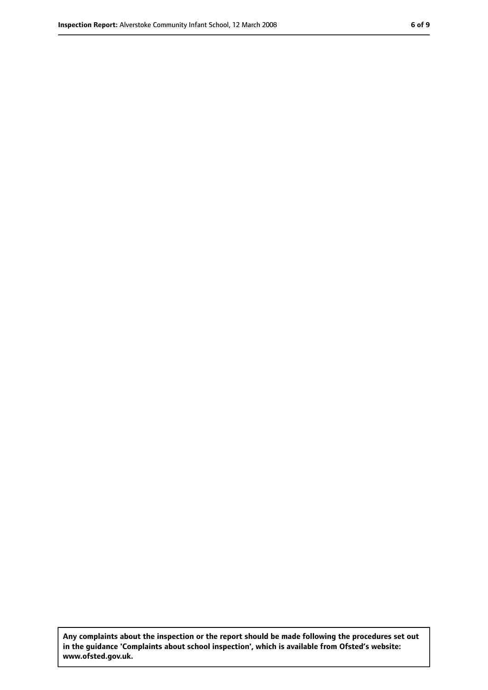**Any complaints about the inspection or the report should be made following the procedures set out in the guidance 'Complaints about school inspection', which is available from Ofsted's website: www.ofsted.gov.uk.**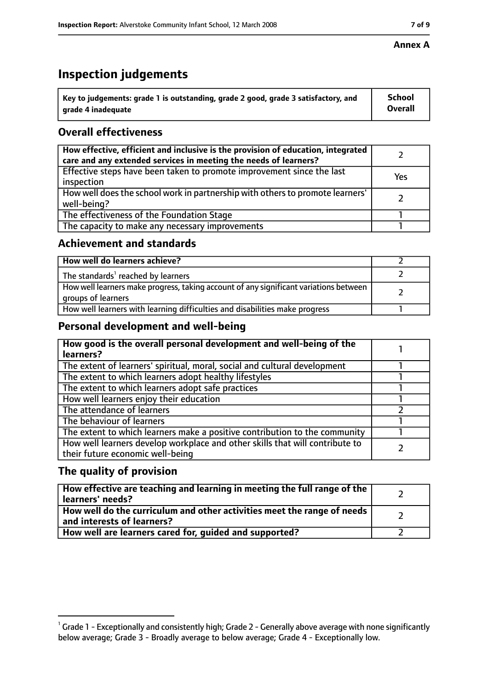## **Inspection judgements**

| $^{\backprime}$ Key to judgements: grade 1 is outstanding, grade 2 good, grade 3 satisfactory, and | School         |
|----------------------------------------------------------------------------------------------------|----------------|
| arade 4 inadequate                                                                                 | <b>Overall</b> |

### **Overall effectiveness**

| How effective, efficient and inclusive is the provision of education, integrated<br>care and any extended services in meeting the needs of learners? |     |
|------------------------------------------------------------------------------------------------------------------------------------------------------|-----|
| Effective steps have been taken to promote improvement since the last<br>inspection                                                                  | Yes |
| How well does the school work in partnership with others to promote learners'<br>well-being?                                                         |     |
| The effectiveness of the Foundation Stage                                                                                                            |     |
| The capacity to make any necessary improvements                                                                                                      |     |

#### **Achievement and standards**

| How well do learners achieve?                                                                               |  |
|-------------------------------------------------------------------------------------------------------------|--|
| The standards <sup>1</sup> reached by learners                                                              |  |
| How well learners make progress, taking account of any significant variations between<br>groups of learners |  |
| How well learners with learning difficulties and disabilities make progress                                 |  |

#### **Personal development and well-being**

| How good is the overall personal development and well-being of the<br>learners?                                  |  |
|------------------------------------------------------------------------------------------------------------------|--|
| The extent of learners' spiritual, moral, social and cultural development                                        |  |
| The extent to which learners adopt healthy lifestyles                                                            |  |
| The extent to which learners adopt safe practices                                                                |  |
| How well learners enjoy their education                                                                          |  |
| The attendance of learners                                                                                       |  |
| The behaviour of learners                                                                                        |  |
| The extent to which learners make a positive contribution to the community                                       |  |
| How well learners develop workplace and other skills that will contribute to<br>their future economic well-being |  |

#### **The quality of provision**

| How effective are teaching and learning in meeting the full range of the<br>learners' needs?          |  |
|-------------------------------------------------------------------------------------------------------|--|
| How well do the curriculum and other activities meet the range of needs<br>and interests of learners? |  |
| How well are learners cared for, guided and supported?                                                |  |

#### **Annex A**

 $^1$  Grade 1 - Exceptionally and consistently high; Grade 2 - Generally above average with none significantly below average; Grade 3 - Broadly average to below average; Grade 4 - Exceptionally low.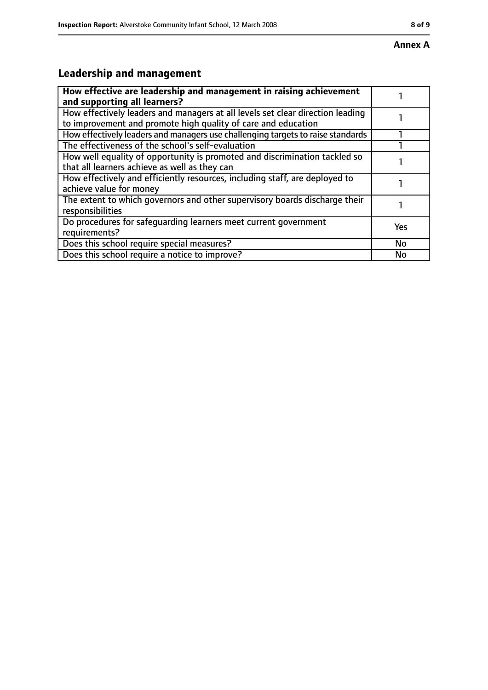## **Leadership and management**

| How effective are leadership and management in raising achievement<br>and supporting all learners?                                              |           |
|-------------------------------------------------------------------------------------------------------------------------------------------------|-----------|
| How effectively leaders and managers at all levels set clear direction leading<br>to improvement and promote high quality of care and education |           |
| How effectively leaders and managers use challenging targets to raise standards                                                                 |           |
| The effectiveness of the school's self-evaluation                                                                                               |           |
| How well equality of opportunity is promoted and discrimination tackled so<br>that all learners achieve as well as they can                     |           |
| How effectively and efficiently resources, including staff, are deployed to<br>achieve value for money                                          |           |
| The extent to which governors and other supervisory boards discharge their<br>responsibilities                                                  |           |
| Do procedures for safequarding learners meet current government<br>requirements?                                                                | Yes       |
| Does this school require special measures?                                                                                                      | <b>No</b> |
| Does this school require a notice to improve?                                                                                                   | No        |